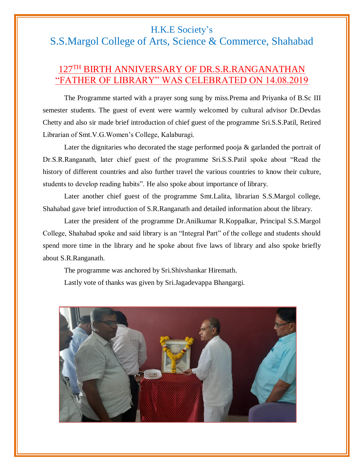## H.K.E Society's

## S.S.Margol College of Arts, Science & Commerce, Shahabad

## 127TH BIRTH ANNIVERSARY OF DR.S.R.RANGANATHAN THER OF LIBRARY" WAS CELEBRATED ON 14.08.2019

The Programme started with a prayer song sung by miss.Prema and Priyanka of B.Sc III semester students. The guest of event were warmly welcomed by cultural advisor Dr.Devdas Chetty and also sir made brief introduction of chief guest of the programme Sri.S.S.Patil, Retired Librarian of Smt.V.G.Women's College, Kalaburagi.

Later the dignitaries who decorated the stage performed pooja & garlanded the portrait of Dr.S.R.Ranganath, later chief guest of the programme Sri.S.S.Patil spoke about "Read the history of different countries and also further travel the various countries to know their culture, students to develop reading habits". He also spoke about importance of library.

Later another chief guest of the programme Smt.Lalita, librarian S.S.Margol college, Shahabad gave brief introduction of S.R.Ranganath and detailed information about the library.

Later the president of the programme Dr.Anilkumar R.Koppalkar, Principal S.S.Margol College, Shahabad spoke and said library is an "Integral Part" of the college and students should spend more time in the library and he spoke about five laws of library and also spoke briefly about S.R.Ranganath.

The programme was anchored by Sri.Shivshankar Hiremath.

Lastly vote of thanks was given by Sri.Jagadevappa Bhangargi.